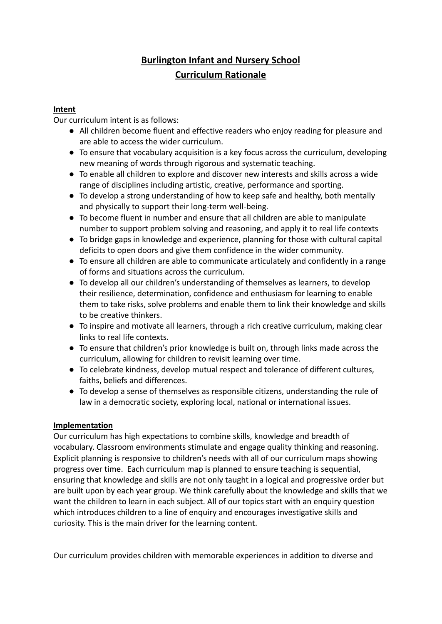## **Burlington Infant and Nursery School Curriculum Rationale**

## **Intent**

Our curriculum intent is as follows:

- All children become fluent and effective readers who enjoy reading for pleasure and are able to access the wider curriculum.
- To ensure that vocabulary acquisition is a key focus across the curriculum, developing new meaning of words through rigorous and systematic teaching.
- To enable all children to explore and discover new interests and skills across a wide range of disciplines including artistic, creative, performance and sporting.
- To develop a strong understanding of how to keep safe and healthy, both mentally and physically to support their long-term well-being.
- To become fluent in number and ensure that all children are able to manipulate number to support problem solving and reasoning, and apply it to real life contexts
- To bridge gaps in knowledge and experience, planning for those with cultural capital deficits to open doors and give them confidence in the wider community.
- To ensure all children are able to communicate articulately and confidently in a range of forms and situations across the curriculum.
- To develop all our children's understanding of themselves as learners, to develop their resilience, determination, confidence and enthusiasm for learning to enable them to take risks, solve problems and enable them to link their knowledge and skills to be creative thinkers.
- To inspire and motivate all learners, through a rich creative curriculum, making clear links to real life contexts.
- To ensure that children's prior knowledge is built on, through links made across the curriculum, allowing for children to revisit learning over time.
- To celebrate kindness, develop mutual respect and tolerance of different cultures, faiths, beliefs and differences.
- To develop a sense of themselves as responsible citizens, understanding the rule of law in a democratic society, exploring local, national or international issues.

## **Implementation**

Our curriculum has high expectations to combine skills, knowledge and breadth of vocabulary. Classroom environments stimulate and engage quality thinking and reasoning. Explicit planning is responsive to children's needs with all of our curriculum maps showing progress over time. Each curriculum map is planned to ensure teaching is sequential, ensuring that knowledge and skills are not only taught in a logical and progressive order but are built upon by each year group. We think carefully about the knowledge and skills that we want the children to learn in each subject. All of our topics start with an enquiry question which introduces children to a line of enquiry and encourages investigative skills and curiosity. This is the main driver for the learning content.

Our curriculum provides children with memorable experiences in addition to diverse and